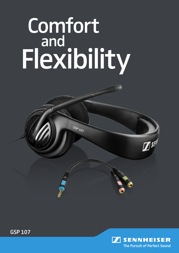## **Comfort**  and Flexibility

GSP<sub>107</sub>





 $\mathbb{Z}^{\mathfrak{gl}}$